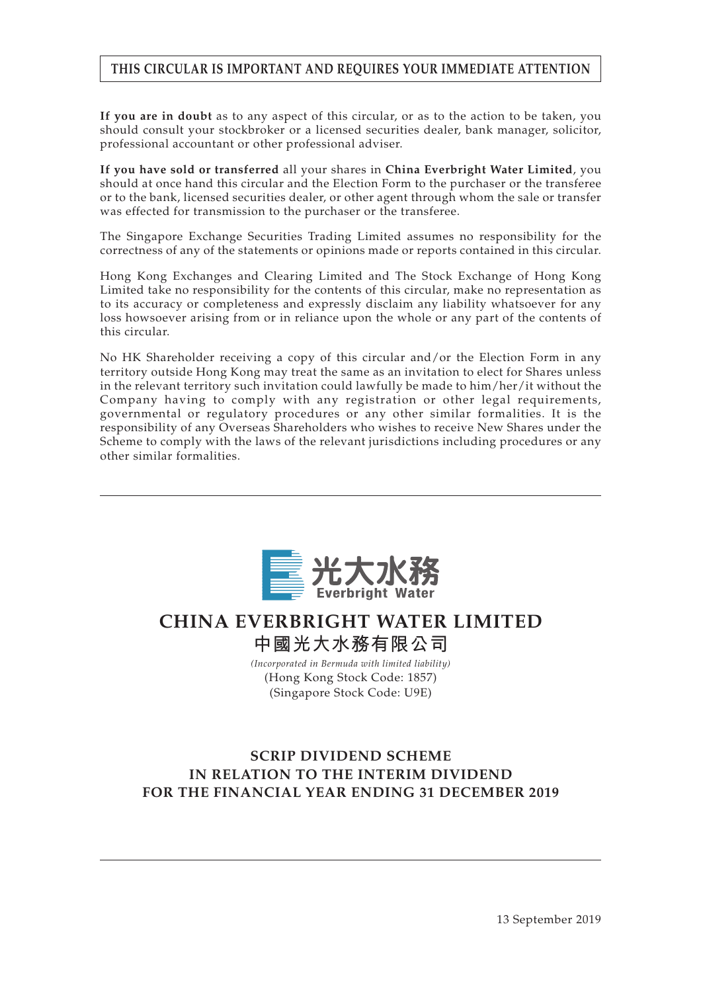# **THIS CIRCULAR IS IMPORTANT AND REQUIRES YOUR IMMEDIATE ATTENTION**

**If you are in doubt** as to any aspect of this circular, or as to the action to be taken, you should consult your stockbroker or a licensed securities dealer, bank manager, solicitor, professional accountant or other professional adviser.

**If you have sold or transferred** all your shares in **China Everbright Water Limited**, you should at once hand this circular and the Election Form to the purchaser or the transferee or to the bank, licensed securities dealer, or other agent through whom the sale or transfer was effected for transmission to the purchaser or the transferee.

The Singapore Exchange Securities Trading Limited assumes no responsibility for the correctness of any of the statements or opinions made or reports contained in this circular.

Hong Kong Exchanges and Clearing Limited and The Stock Exchange of Hong Kong Limited take no responsibility for the contents of this circular, make no representation as to its accuracy or completeness and expressly disclaim any liability whatsoever for any loss howsoever arising from or in reliance upon the whole or any part of the contents of this circular.

No HK Shareholder receiving a copy of this circular and/or the Election Form in any territory outside Hong Kong may treat the same as an invitation to elect for Shares unless in the relevant territory such invitation could lawfully be made to him/her/it without the Company having to comply with any registration or other legal requirements, governmental or regulatory procedures or any other similar formalities. It is the responsibility of any Overseas Shareholders who wishes to receive New Shares under the Scheme to comply with the laws of the relevant jurisdictions including procedures or any other similar formalities.



# **CHINA EVERBRIGHT WATER LIMITED 中國光大水務有限公司**

*(Incorporated in Bermuda with limited liability)* (Hong Kong Stock Code: 1857) (Singapore Stock Code: U9E)

# **SCRIP DIVIDEND SCHEME IN RELATION TO THE INTERIM DIVIDEND FOR THE FINANCIAL YEAR ENDING 31 DECEMBER 2019**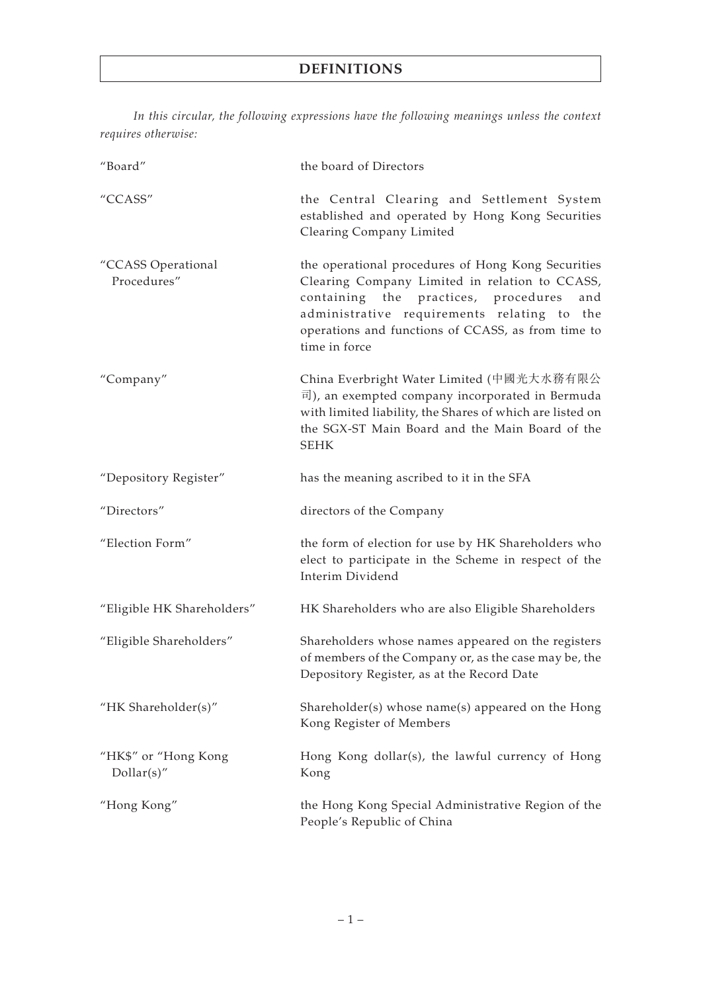*In this circular, the following expressions have the following meanings unless the context requires otherwise:*

| "Board"                             | the board of Directors                                                                                                                                                                                                                                                    |
|-------------------------------------|---------------------------------------------------------------------------------------------------------------------------------------------------------------------------------------------------------------------------------------------------------------------------|
| "CCASS"                             | the Central Clearing and Settlement System<br>established and operated by Hong Kong Securities<br>Clearing Company Limited                                                                                                                                                |
| "CCASS Operational<br>Procedures"   | the operational procedures of Hong Kong Securities<br>Clearing Company Limited in relation to CCASS,<br>containing the practices, procedures<br>and<br>administrative requirements relating to the<br>operations and functions of CCASS, as from time to<br>time in force |
| "Company"                           | China Everbright Water Limited (中國光大水務有限公<br>司), an exempted company incorporated in Bermuda<br>with limited liability, the Shares of which are listed on<br>the SGX-ST Main Board and the Main Board of the<br><b>SEHK</b>                                               |
| "Depository Register"               | has the meaning ascribed to it in the SFA                                                                                                                                                                                                                                 |
| "Directors"                         | directors of the Company                                                                                                                                                                                                                                                  |
|                                     |                                                                                                                                                                                                                                                                           |
| "Election Form"                     | the form of election for use by HK Shareholders who<br>elect to participate in the Scheme in respect of the<br>Interim Dividend                                                                                                                                           |
| "Eligible HK Shareholders"          | HK Shareholders who are also Eligible Shareholders                                                                                                                                                                                                                        |
| "Eligible Shareholders"             | Shareholders whose names appeared on the registers<br>of members of the Company or, as the case may be, the<br>Depository Register, as at the Record Date                                                                                                                 |
| "HK Shareholder(s)"                 | Shareholder(s) whose name(s) appeared on the Hong<br>Kong Register of Members                                                                                                                                                                                             |
| "HK\$" or "Hong Kong<br>Dollar(s)'' | Hong Kong dollar(s), the lawful currency of Hong<br>Kong                                                                                                                                                                                                                  |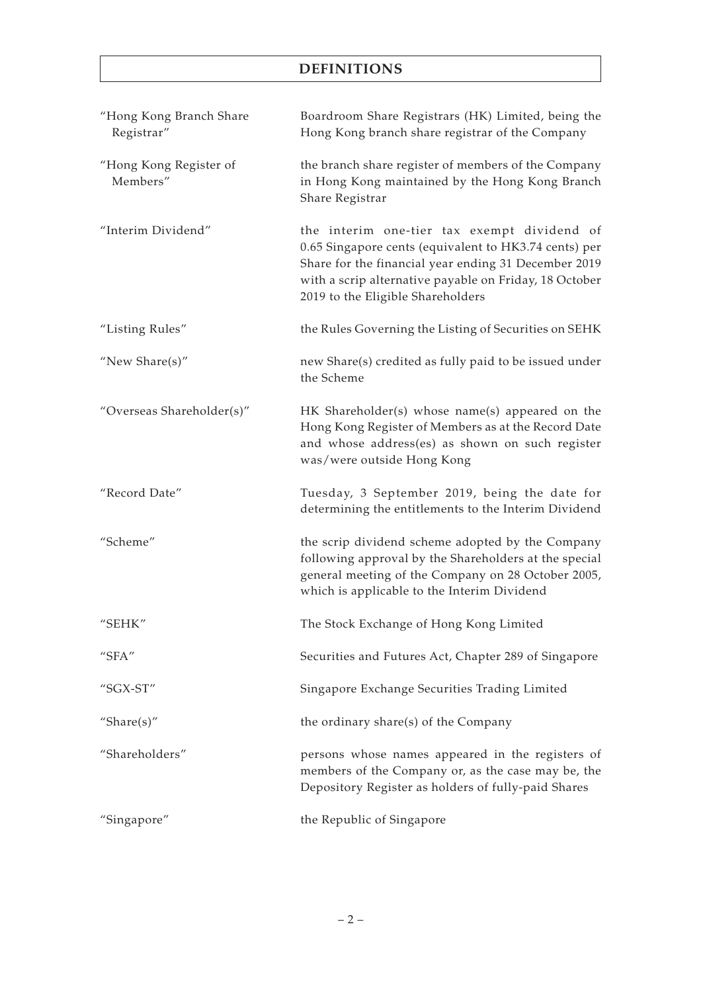# **DEFINITIONS**

| "Hong Kong Branch Share<br>Registrar"   | Boardroom Share Registrars (HK) Limited, being the<br>Hong Kong branch share registrar of the Company                                                                                                                                                       |
|-----------------------------------------|-------------------------------------------------------------------------------------------------------------------------------------------------------------------------------------------------------------------------------------------------------------|
| "Hong Kong Register of<br>Members"      | the branch share register of members of the Company<br>in Hong Kong maintained by the Hong Kong Branch<br>Share Registrar                                                                                                                                   |
| "Interim Dividend"                      | the interim one-tier tax exempt dividend of<br>0.65 Singapore cents (equivalent to HK3.74 cents) per<br>Share for the financial year ending 31 December 2019<br>with a scrip alternative payable on Friday, 18 October<br>2019 to the Eligible Shareholders |
| "Listing Rules"                         | the Rules Governing the Listing of Securities on SEHK                                                                                                                                                                                                       |
| "New Share $(s)$ "                      | new Share(s) credited as fully paid to be issued under<br>the Scheme                                                                                                                                                                                        |
| "Overseas Shareholder(s)"               | HK Shareholder(s) whose name(s) appeared on the<br>Hong Kong Register of Members as at the Record Date<br>and whose address(es) as shown on such register<br>was/were outside Hong Kong                                                                     |
| "Record Date"                           | Tuesday, 3 September 2019, being the date for<br>determining the entitlements to the Interim Dividend                                                                                                                                                       |
| "Scheme"                                | the scrip dividend scheme adopted by the Company<br>following approval by the Shareholders at the special<br>general meeting of the Company on 28 October 2005,<br>which is applicable to the Interim Dividend                                              |
| "SEHK"                                  | The Stock Exchange of Hong Kong Limited                                                                                                                                                                                                                     |
| $^{\prime\prime}$ SFA $^{\prime\prime}$ | Securities and Futures Act, Chapter 289 of Singapore                                                                                                                                                                                                        |
| "SGX-ST"                                | Singapore Exchange Securities Trading Limited                                                                                                                                                                                                               |
| "Share $(s)$ "                          | the ordinary share(s) of the Company                                                                                                                                                                                                                        |
| "Shareholders"                          | persons whose names appeared in the registers of<br>members of the Company or, as the case may be, the<br>Depository Register as holders of fully-paid Shares                                                                                               |
| "Singapore"                             | the Republic of Singapore                                                                                                                                                                                                                                   |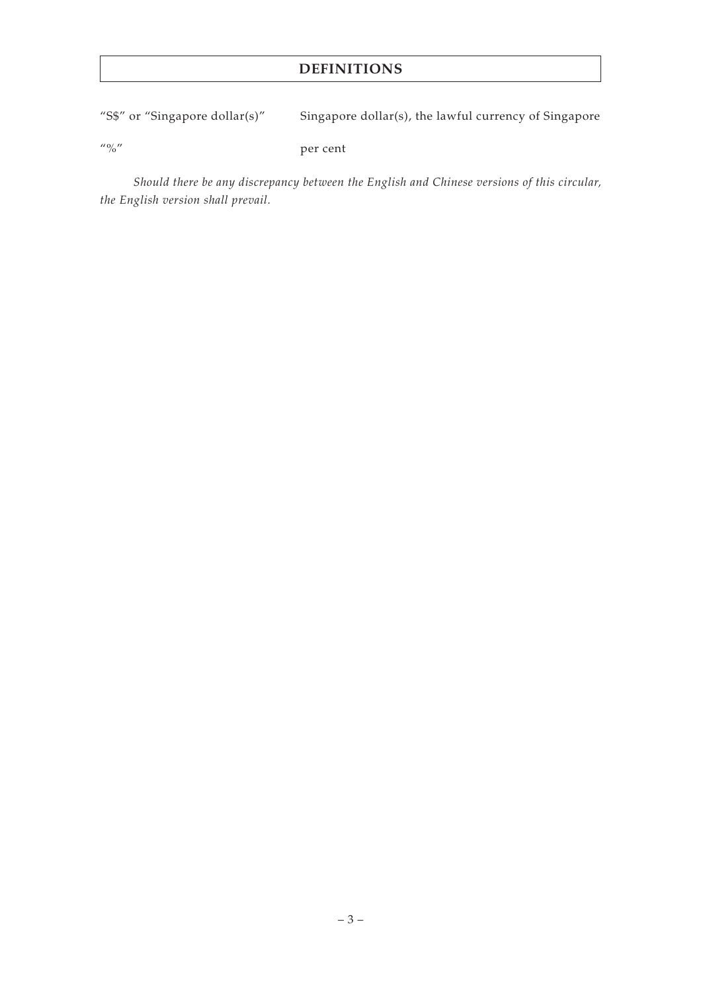# **DEFINITIONS**

"S\$" or "Singapore dollar(s)" Singapore dollar(s), the lawful currency of Singapore

"%" per cent

*Should there be any discrepancy between the English and Chinese versions of this circular, the English version shall prevail.*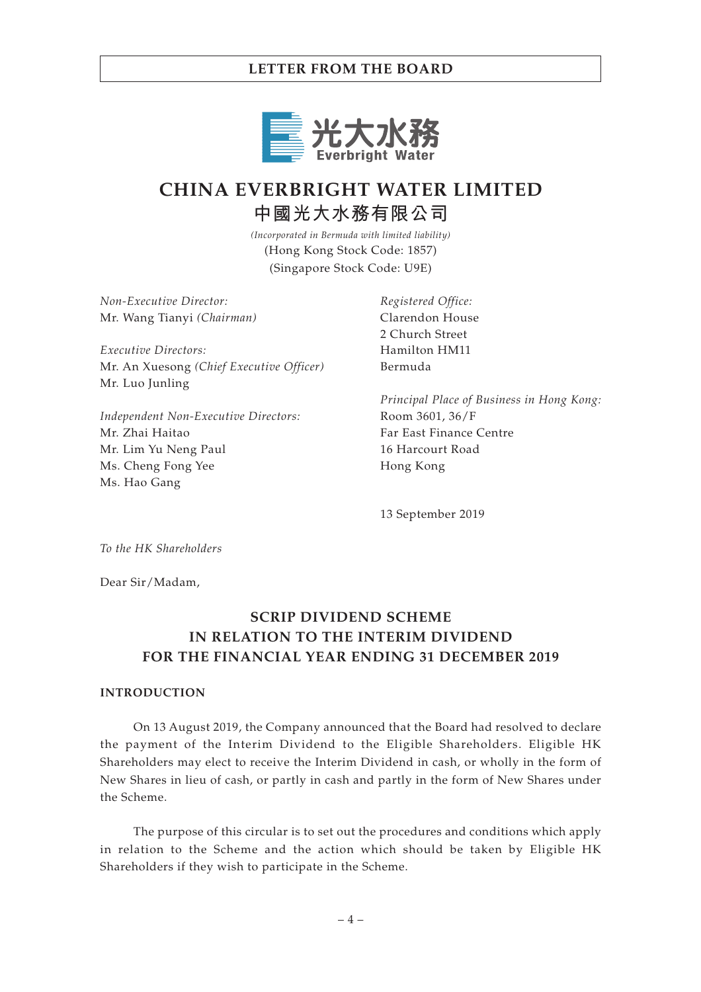

# **CHINA EVERBRIGHT WATER LIMITED 中國光大水務有限公司**

*(Incorporated in Bermuda with limited liability)* (Hong Kong Stock Code: 1857) (Singapore Stock Code: U9E)

*Non-Executive Director:* Mr. Wang Tianyi *(Chairman)*

*Executive Directors:* Mr. An Xuesong *(Chief Executive Officer)* Mr. Luo Junling

*Independent Non-Executive Directors:* Mr. Zhai Haitao Mr. Lim Yu Neng Paul Ms. Cheng Fong Yee Ms. Hao Gang

*Registered Office:* Clarendon House 2 Church Street Hamilton HM11 Bermuda

*Principal Place of Business in Hong Kong:* Room 3601, 36/F Far East Finance Centre 16 Harcourt Road Hong Kong

13 September 2019

*To the HK Shareholders*

Dear Sir/Madam,

# **SCRIP DIVIDEND SCHEME IN RELATION TO THE INTERIM DIVIDEND FOR THE FINANCIAL YEAR ENDING 31 DECEMBER 2019**

#### **INTRODUCTION**

On 13 August 2019, the Company announced that the Board had resolved to declare the payment of the Interim Dividend to the Eligible Shareholders. Eligible HK Shareholders may elect to receive the Interim Dividend in cash, or wholly in the form of New Shares in lieu of cash, or partly in cash and partly in the form of New Shares under the Scheme.

The purpose of this circular is to set out the procedures and conditions which apply in relation to the Scheme and the action which should be taken by Eligible HK Shareholders if they wish to participate in the Scheme.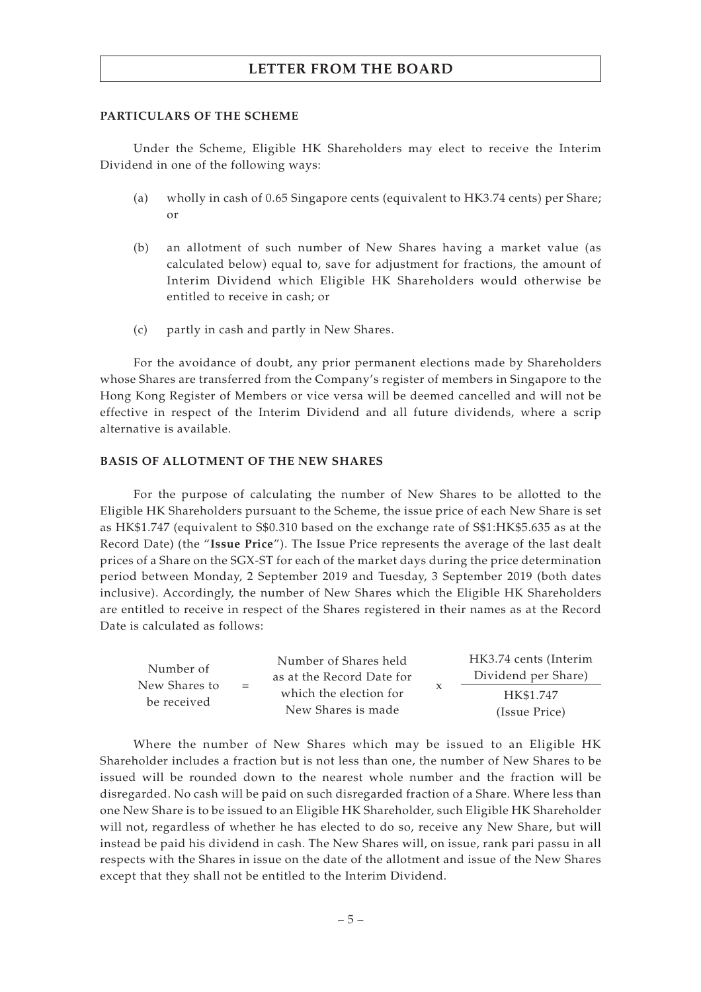#### **PARTICULARS OF THE SCHEME**

Under the Scheme, Eligible HK Shareholders may elect to receive the Interim Dividend in one of the following ways:

- (a) wholly in cash of 0.65 Singapore cents (equivalent to HK3.74 cents) per Share; or
- (b) an allotment of such number of New Shares having a market value (as calculated below) equal to, save for adjustment for fractions, the amount of Interim Dividend which Eligible HK Shareholders would otherwise be entitled to receive in cash; or
- (c) partly in cash and partly in New Shares.

For the avoidance of doubt, any prior permanent elections made by Shareholders whose Shares are transferred from the Company's register of members in Singapore to the Hong Kong Register of Members or vice versa will be deemed cancelled and will not be effective in respect of the Interim Dividend and all future dividends, where a scrip alternative is available.

#### **BASIS OF ALLOTMENT OF THE NEW SHARES**

For the purpose of calculating the number of New Shares to be allotted to the Eligible HK Shareholders pursuant to the Scheme, the issue price of each New Share is set as HK\$1.747 (equivalent to S\$0.310 based on the exchange rate of S\$1:HK\$5.635 as at the Record Date) (the "**Issue Price**"). The Issue Price represents the average of the last dealt prices of a Share on the SGX-ST for each of the market days during the price determination period between Monday, 2 September 2019 and Tuesday, 3 September 2019 (both dates inclusive). Accordingly, the number of New Shares which the Eligible HK Shareholders are entitled to receive in respect of the Shares registered in their names as at the Record Date is calculated as follows:

| Number of<br>New Shares to<br>$=$<br>be received | Number of Shares held     | HK3.74 cents (Interim |
|--------------------------------------------------|---------------------------|-----------------------|
|                                                  | as at the Record Date for | Dividend per Share)   |
|                                                  | which the election for    | HK\$1.747             |
|                                                  | New Shares is made        | (Issue Price)         |

Where the number of New Shares which may be issued to an Eligible HK Shareholder includes a fraction but is not less than one, the number of New Shares to be issued will be rounded down to the nearest whole number and the fraction will be disregarded. No cash will be paid on such disregarded fraction of a Share. Where less than one New Share is to be issued to an Eligible HK Shareholder, such Eligible HK Shareholder will not, regardless of whether he has elected to do so, receive any New Share, but will instead be paid his dividend in cash. The New Shares will, on issue, rank pari passu in all respects with the Shares in issue on the date of the allotment and issue of the New Shares except that they shall not be entitled to the Interim Dividend.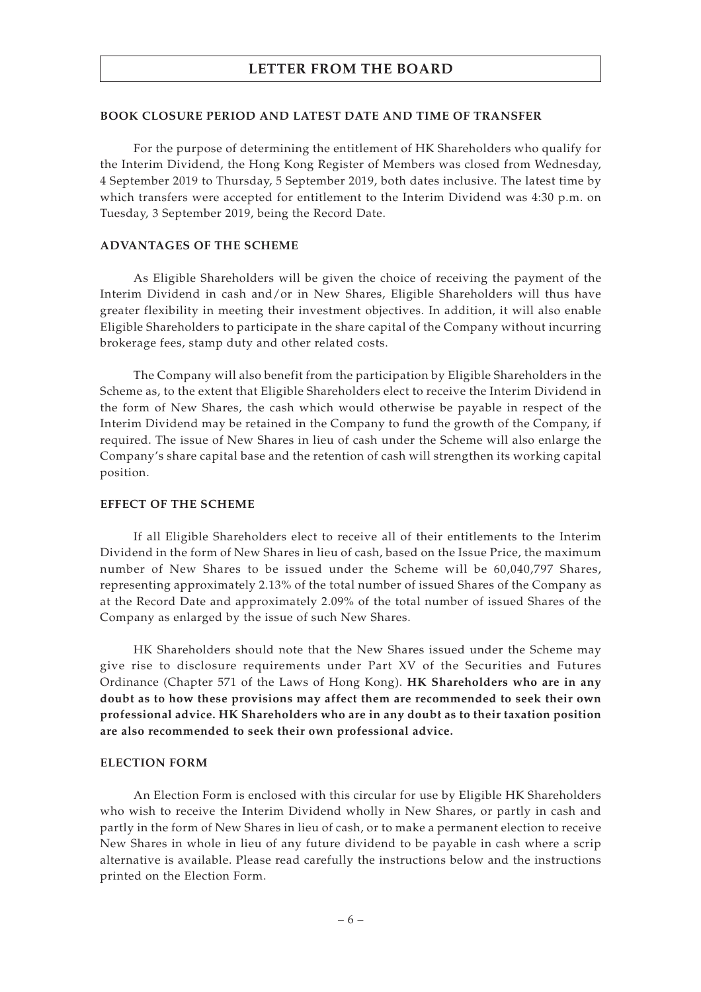#### **BOOK CLOSURE PERIOD AND LATEST DATE AND TIME OF TRANSFER**

For the purpose of determining the entitlement of HK Shareholders who qualify for the Interim Dividend, the Hong Kong Register of Members was closed from Wednesday, 4 September 2019 to Thursday, 5 September 2019, both dates inclusive. The latest time by which transfers were accepted for entitlement to the Interim Dividend was 4:30 p.m. on Tuesday, 3 September 2019, being the Record Date.

#### **ADVANTAGES OF THE SCHEME**

As Eligible Shareholders will be given the choice of receiving the payment of the Interim Dividend in cash and/or in New Shares, Eligible Shareholders will thus have greater flexibility in meeting their investment objectives. In addition, it will also enable Eligible Shareholders to participate in the share capital of the Company without incurring brokerage fees, stamp duty and other related costs.

The Company will also benefit from the participation by Eligible Shareholders in the Scheme as, to the extent that Eligible Shareholders elect to receive the Interim Dividend in the form of New Shares, the cash which would otherwise be payable in respect of the Interim Dividend may be retained in the Company to fund the growth of the Company, if required. The issue of New Shares in lieu of cash under the Scheme will also enlarge the Company's share capital base and the retention of cash will strengthen its working capital position.

#### **EFFECT OF THE SCHEME**

If all Eligible Shareholders elect to receive all of their entitlements to the Interim Dividend in the form of New Shares in lieu of cash, based on the Issue Price, the maximum number of New Shares to be issued under the Scheme will be 60,040,797 Shares, representing approximately 2.13% of the total number of issued Shares of the Company as at the Record Date and approximately 2.09% of the total number of issued Shares of the Company as enlarged by the issue of such New Shares.

HK Shareholders should note that the New Shares issued under the Scheme may give rise to disclosure requirements under Part XV of the Securities and Futures Ordinance (Chapter 571 of the Laws of Hong Kong). **HK Shareholders who are in any doubt as to how these provisions may affect them are recommended to seek their own professional advice. HK Shareholders who are in any doubt as to their taxation position are also recommended to seek their own professional advice.**

#### **ELECTION FORM**

An Election Form is enclosed with this circular for use by Eligible HK Shareholders who wish to receive the Interim Dividend wholly in New Shares, or partly in cash and partly in the form of New Shares in lieu of cash, or to make a permanent election to receive New Shares in whole in lieu of any future dividend to be payable in cash where a scrip alternative is available. Please read carefully the instructions below and the instructions printed on the Election Form.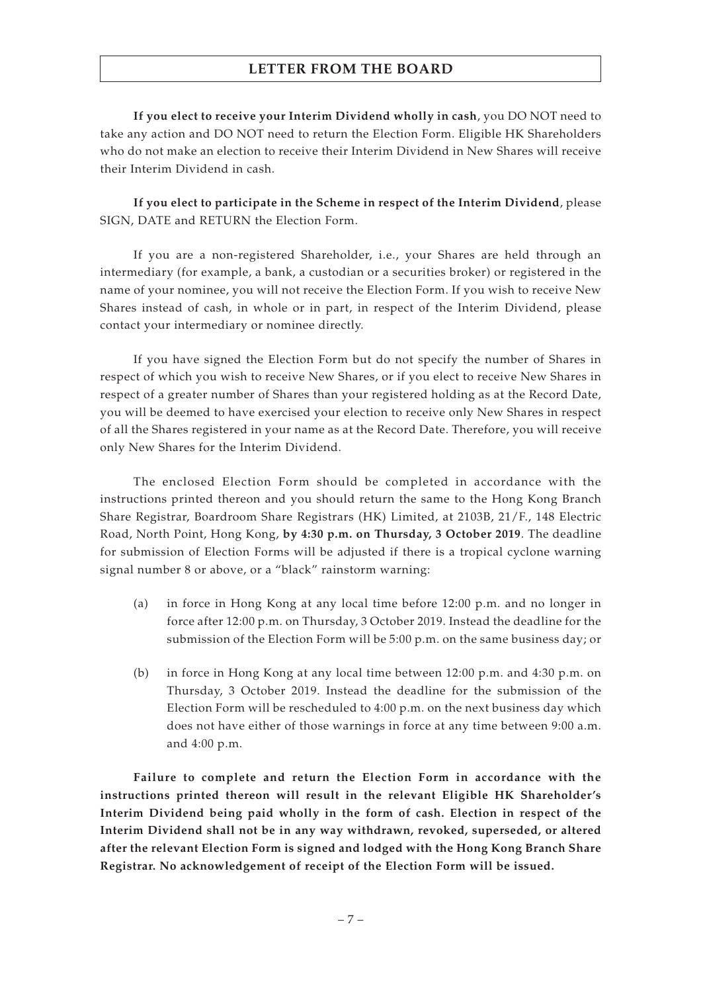**If you elect to receive your Interim Dividend wholly in cash**, you DO NOT need to take any action and DO NOT need to return the Election Form. Eligible HK Shareholders who do not make an election to receive their Interim Dividend in New Shares will receive their Interim Dividend in cash.

**If you elect to participate in the Scheme in respect of the Interim Dividend**, please SIGN, DATE and RETURN the Election Form.

If you are a non-registered Shareholder, i.e., your Shares are held through an intermediary (for example, a bank, a custodian or a securities broker) or registered in the name of your nominee, you will not receive the Election Form. If you wish to receive New Shares instead of cash, in whole or in part, in respect of the Interim Dividend, please contact your intermediary or nominee directly.

If you have signed the Election Form but do not specify the number of Shares in respect of which you wish to receive New Shares, or if you elect to receive New Shares in respect of a greater number of Shares than your registered holding as at the Record Date, you will be deemed to have exercised your election to receive only New Shares in respect of all the Shares registered in your name as at the Record Date. Therefore, you will receive only New Shares for the Interim Dividend.

The enclosed Election Form should be completed in accordance with the instructions printed thereon and you should return the same to the Hong Kong Branch Share Registrar, Boardroom Share Registrars (HK) Limited, at 2103B, 21/F., 148 Electric Road, North Point, Hong Kong, **by 4:30 p.m. on Thursday, 3 October 2019**. The deadline for submission of Election Forms will be adjusted if there is a tropical cyclone warning signal number 8 or above, or a "black" rainstorm warning:

- (a) in force in Hong Kong at any local time before 12:00 p.m. and no longer in force after 12:00 p.m. on Thursday, 3 October 2019. Instead the deadline for the submission of the Election Form will be 5:00 p.m. on the same business day; or
- (b) in force in Hong Kong at any local time between 12:00 p.m. and 4:30 p.m. on Thursday, 3 October 2019. Instead the deadline for the submission of the Election Form will be rescheduled to 4:00 p.m. on the next business day which does not have either of those warnings in force at any time between 9:00 a.m. and 4:00 p.m.

**Failure to complete and return the Election Form in accordance with the instructions printed thereon will result in the relevant Eligible HK Shareholder's Interim Dividend being paid wholly in the form of cash. Election in respect of the Interim Dividend shall not be in any way withdrawn, revoked, superseded, or altered after the relevant Election Form is signed and lodged with the Hong Kong Branch Share Registrar. No acknowledgement of receipt of the Election Form will be issued.**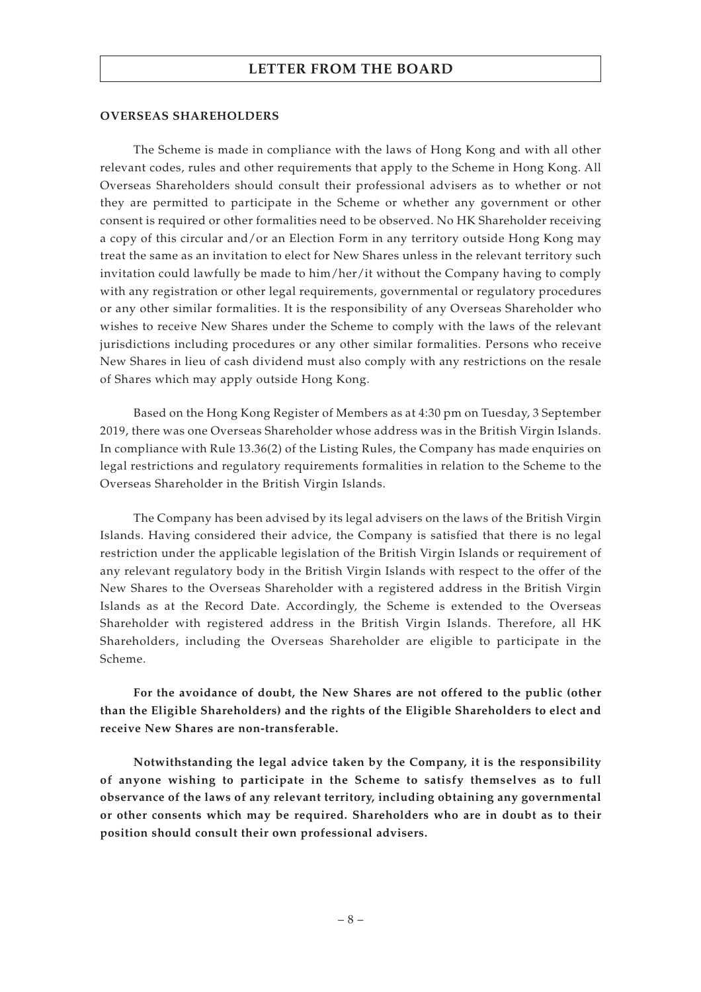#### **OVERSEAS SHAREHOLDERS**

The Scheme is made in compliance with the laws of Hong Kong and with all other relevant codes, rules and other requirements that apply to the Scheme in Hong Kong. All Overseas Shareholders should consult their professional advisers as to whether or not they are permitted to participate in the Scheme or whether any government or other consent is required or other formalities need to be observed. No HK Shareholder receiving a copy of this circular and/or an Election Form in any territory outside Hong Kong may treat the same as an invitation to elect for New Shares unless in the relevant territory such invitation could lawfully be made to him/her/it without the Company having to comply with any registration or other legal requirements, governmental or regulatory procedures or any other similar formalities. It is the responsibility of any Overseas Shareholder who wishes to receive New Shares under the Scheme to comply with the laws of the relevant jurisdictions including procedures or any other similar formalities. Persons who receive New Shares in lieu of cash dividend must also comply with any restrictions on the resale of Shares which may apply outside Hong Kong.

Based on the Hong Kong Register of Members as at 4:30 pm on Tuesday, 3 September 2019, there was one Overseas Shareholder whose address was in the British Virgin Islands. In compliance with Rule 13.36(2) of the Listing Rules, the Company has made enquiries on legal restrictions and regulatory requirements formalities in relation to the Scheme to the Overseas Shareholder in the British Virgin Islands.

The Company has been advised by its legal advisers on the laws of the British Virgin Islands. Having considered their advice, the Company is satisfied that there is no legal restriction under the applicable legislation of the British Virgin Islands or requirement of any relevant regulatory body in the British Virgin Islands with respect to the offer of the New Shares to the Overseas Shareholder with a registered address in the British Virgin Islands as at the Record Date. Accordingly, the Scheme is extended to the Overseas Shareholder with registered address in the British Virgin Islands. Therefore, all HK Shareholders, including the Overseas Shareholder are eligible to participate in the Scheme.

**For the avoidance of doubt, the New Shares are not offered to the public (other than the Eligible Shareholders) and the rights of the Eligible Shareholders to elect and receive New Shares are non-transferable.**

**Notwithstanding the legal advice taken by the Company, it is the responsibility of anyone wishing to participate in the Scheme to satisfy themselves as to full observance of the laws of any relevant territory, including obtaining any governmental or other consents which may be required. Shareholders who are in doubt as to their position should consult their own professional advisers.**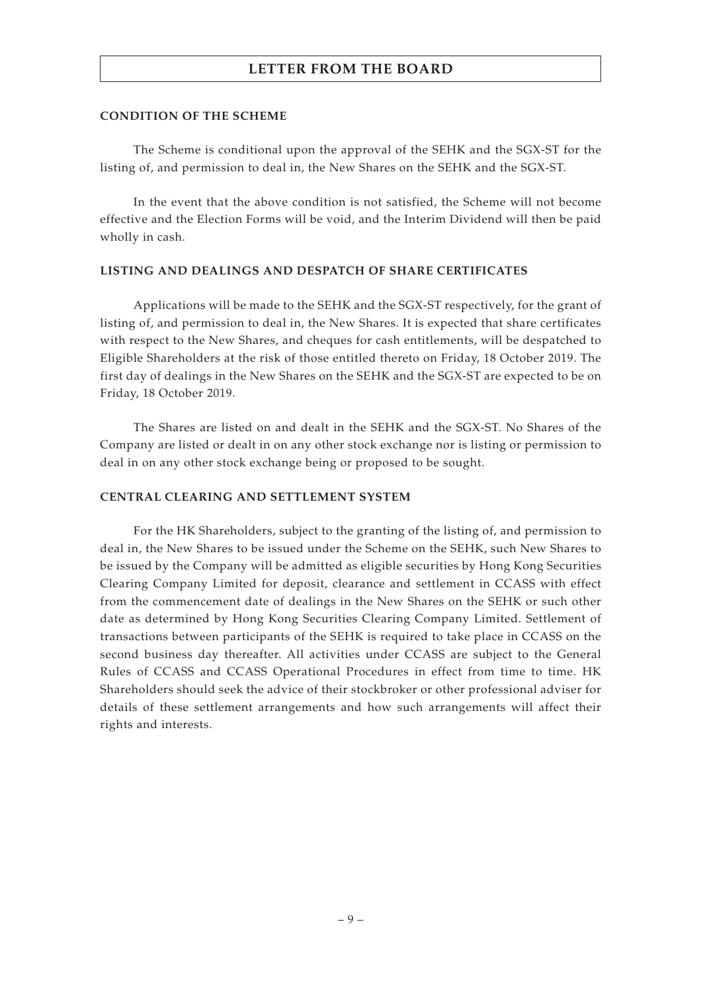#### **CONDITION OF THE SCHEME**

The Scheme is conditional upon the approval of the SEHK and the SGX-ST for the listing of, and permission to deal in, the New Shares on the SEHK and the SGX-ST.

In the event that the above condition is not satisfied, the Scheme will not become effective and the Election Forms will be void, and the Interim Dividend will then be paid wholly in cash.

#### **LISTING AND DEALINGS AND DESPATCH OF SHARE CERTIFICATES**

Applications will be made to the SEHK and the SGX-ST respectively, for the grant of listing of, and permission to deal in, the New Shares. It is expected that share certificates with respect to the New Shares, and cheques for cash entitlements, will be despatched to Eligible Shareholders at the risk of those entitled thereto on Friday, 18 October 2019. The first day of dealings in the New Shares on the SEHK and the SGX-ST are expected to be on Friday, 18 October 2019.

The Shares are listed on and dealt in the SEHK and the SGX-ST. No Shares of the Company are listed or dealt in on any other stock exchange nor is listing or permission to deal in on any other stock exchange being or proposed to be sought.

#### **CENTRAL CLEARING AND SETTLEMENT SYSTEM**

For the HK Shareholders, subject to the granting of the listing of, and permission to deal in, the New Shares to be issued under the Scheme on the SEHK, such New Shares to be issued by the Company will be admitted as eligible securities by Hong Kong Securities Clearing Company Limited for deposit, clearance and settlement in CCASS with effect from the commencement date of dealings in the New Shares on the SEHK or such other date as determined by Hong Kong Securities Clearing Company Limited. Settlement of transactions between participants of the SEHK is required to take place in CCASS on the second business day thereafter. All activities under CCASS are subject to the General Rules of CCASS and CCASS Operational Procedures in effect from time to time. HK Shareholders should seek the advice of their stockbroker or other professional adviser for details of these settlement arrangements and how such arrangements will affect their rights and interests.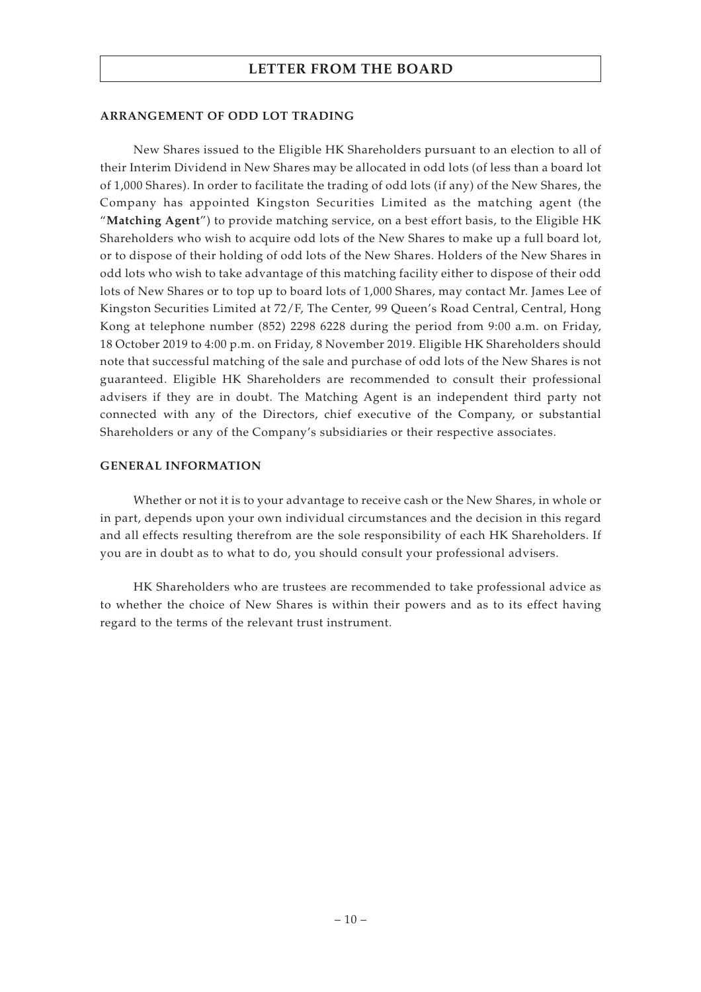#### **ARRANGEMENT OF ODD LOT TRADING**

New Shares issued to the Eligible HK Shareholders pursuant to an election to all of their Interim Dividend in New Shares may be allocated in odd lots (of less than a board lot of 1,000 Shares). In order to facilitate the trading of odd lots (if any) of the New Shares, the Company has appointed Kingston Securities Limited as the matching agent (the "**Matching Agent**") to provide matching service, on a best effort basis, to the Eligible HK Shareholders who wish to acquire odd lots of the New Shares to make up a full board lot, or to dispose of their holding of odd lots of the New Shares. Holders of the New Shares in odd lots who wish to take advantage of this matching facility either to dispose of their odd lots of New Shares or to top up to board lots of 1,000 Shares, may contact Mr. James Lee of Kingston Securities Limited at 72/F, The Center, 99 Queen's Road Central, Central, Hong Kong at telephone number (852) 2298 6228 during the period from 9:00 a.m. on Friday, 18 October 2019 to 4:00 p.m. on Friday, 8 November 2019. Eligible HK Shareholders should note that successful matching of the sale and purchase of odd lots of the New Shares is not guaranteed. Eligible HK Shareholders are recommended to consult their professional advisers if they are in doubt. The Matching Agent is an independent third party not connected with any of the Directors, chief executive of the Company, or substantial Shareholders or any of the Company's subsidiaries or their respective associates.

#### **GENERAL INFORMATION**

Whether or not it is to your advantage to receive cash or the New Shares, in whole or in part, depends upon your own individual circumstances and the decision in this regard and all effects resulting therefrom are the sole responsibility of each HK Shareholders. If you are in doubt as to what to do, you should consult your professional advisers.

HK Shareholders who are trustees are recommended to take professional advice as to whether the choice of New Shares is within their powers and as to its effect having regard to the terms of the relevant trust instrument.